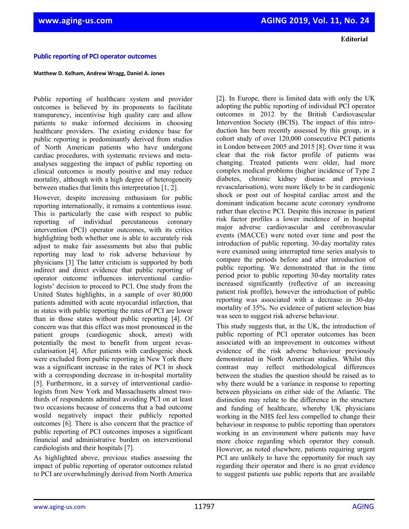**Editorial**

## **Public reporting of PCI operator outcomes**

## **Matthew D. Kelham, Andrew Wragg, Daniel A. Jones**

Public reporting of healthcare system and provider outcomes is believed by its proponents to facilitate transparency, incentivise high quality care and allow patients to make informed decisions in choosing healthcare providers. The existing evidence base for public reporting is predominantly derived from studies of North American patients who have undergone cardiac procedures, with systematic reviews and metaanalyses suggesting the impact of public reporting on clinical outcomes is mostly positive and may reduce mortality, although with a high degree of heterogeneity between studies that limits this interpretation [1, 2].

However, despite increasing enthusiasm for public reporting internationally, it remains a contentious issue. This is particularly the case with respect to public reporting of individual percutaneous coronary intervention (PCI) operator outcomes, with its critics highlighting both whether one is able to accurately risk adjust to make fair assessments but also that public reporting may lead to risk adverse behaviour by physicians [3] The latter criticism is supported by both indirect and direct evidence that public reporting of operator outcome influences interventional cardiologists' decision to proceed to PCI. One study from the United States highlights, in a sample of over 80,000 patients admitted with acute myocardial infarction, that in states with public reporting the rates of PCI are lower than in those states without public reporting [4]. Of concern was that this effect was most pronounced in the patient groups (cardiogenic shock, arrest) with potentially the most to benefit from urgent revascularisation [4]. After patients with cardiogenic shock were excluded from public reporting in New York there was a significant increase in the rates of PCI in shock with a corresponding decrease in in-hospital mortality [5]. Furthermore, in a survey of interventional cardiologists from New York and Massachusetts almost twothirds of respondents admitted avoiding PCI on at least two occasions because of concerns that a bad outcome would negatively impact their publicly reported outcomes [6]. There is also concern that the practice of public reporting of PCI outcomes imposes a significant financial and administrative burden on interventional cardiologists and their hospitals [7].

As highlighted above, previous studies assessing the impact of public reporting of operator outcomes related to PCI are overwhelmingly derived from North America [2]. In Europe, there is limited data with only the UK adopting the public reporting of individual PCI operator outcomes in 2012 by the British Cardiovascular Intervention Society (BCIS). The impact of this introduction has been recently assessed by this group, in a cohort study of over 120,000 consecutive PCI patients in London between 2005 and 2015 [8]. Over time it was clear that the risk factor profile of patients was changing. Treated patients were older, had more complex medical problems (higher incidence of Type 2 diabetes, chronic kidney disease and previous revascularisation), were more likely to be in cardiogenic shock or post out of hospital cardiac arrest and the dominant indication became acute coronary syndrome rather than elective PCI. Despite this increase in patient risk factor profiles a lower incidence of in hospital major adverse cardiovascular and cerebrovascular events (MACCE) were noted over time and post the introduction of public reporting. 30-day mortality rates were examined using interrupted time series analysis to compare the periods before and after introduction of public reporting. We demonstrated that in the time period prior to public reporting 30-day mortality rates increased significantly (reflective of an increasing patient risk profile), however the introduction of public reporting was associated with a decrease in 30-day mortality of 35%. No evidence of patient selection bias was seen to suggest risk adverse behaviour.

This study suggests that, in the UK, the introduction of public reporting of PCI operator outcomes has been associated with an improvement in outcomes without evidence of the risk adverse behaviour previously demonstrated in North American studies. Whilst this contrast may reflect methodological differences between the studies the question should be raised as to why there would be a variance in response to reporting between physicians on either side of the Atlantic. The distinction may relate to the difference in the structure and funding of healthcare, whereby UK physicians working in the NHS feel less compelled to change their behaviour in response to public reporting than operators working in an environment where patients may have more choice regarding which operator they consult. However, as noted elsewhere, patients requiring urgent PCI are unlikely to have the opportunity for much say regarding their operator and there is no great evidence to suggest patients use public reports that are available